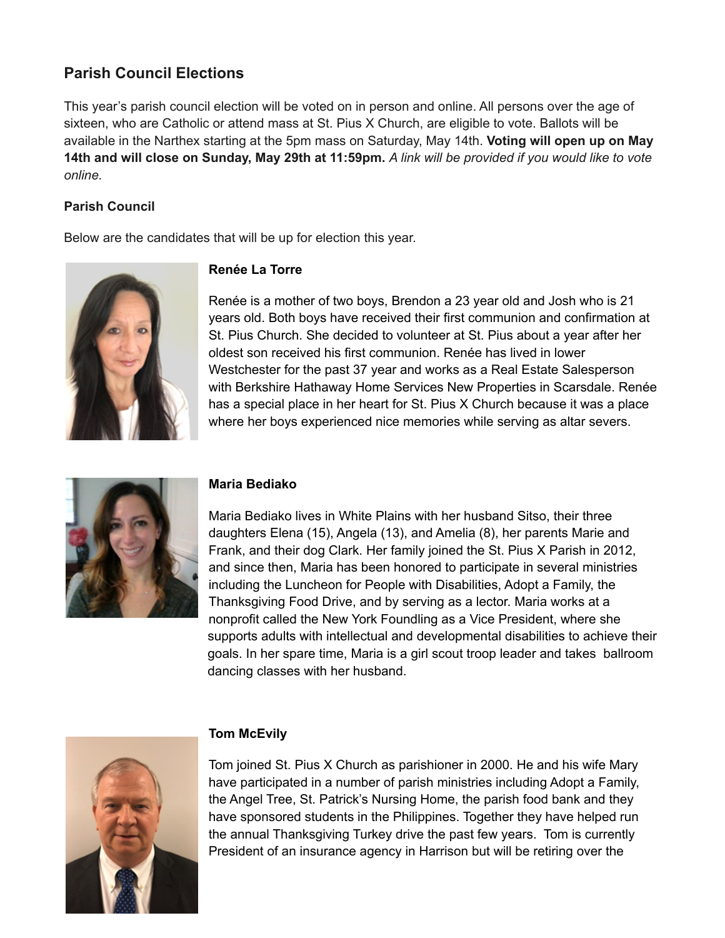# **Parish Council Elections**

This year's parish council election will be voted on in person and online. All persons over the age of sixteen, who are Catholic or attend mass at St. Pius X Church, are eligible to vote. Ballots will be available in the Narthex starting at the 5pm mass on Saturday, May 14th. **Voting will open up on May** 14th and will close on Sunday, May 29th at 11:59pm. A link will be provided if you would like to vote *online.*

# **Parish Council**

Below are the candidates that will be up for election this year.



# **Renée La Torre**

Renée is a mother of two boys, Brendon a 23 year old and Josh who is 21 years old. Both boys have received their first communion and confirmation at St. Pius Church. She decided to volunteer at St. Pius about a year after her oldest son received his first communion. Renée has lived in lower Westchester for the past 37 year and works as a Real Estate Salesperson with Berkshire Hathaway Home Services New Properties in Scarsdale. Renée has a special place in her heart for St. Pius X Church because it was a place where her boys experienced nice memories while serving as altar severs.



# **Maria Bediako**

Maria Bediako lives in White Plains with her husband Sitso, their three daughters Elena (15), Angela (13), and Amelia (8), her parents Marie and Frank, and their dog Clark. Her family joined the St. Pius X Parish in 2012, and since then, Maria has been honored to participate in several ministries including the Luncheon for People with Disabilities, Adopt a Family, the Thanksgiving Food Drive, and by serving as a lector. Maria works at a nonprofit called the New York Foundling as a Vice President, where she supports adults with intellectual and developmental disabilities to achieve their goals. In her spare time, Maria is a girl scout troop leader and takes ballroom dancing classes with her husband.



# **Tom McEvily**

Tom joined St. Pius X Church as parishioner in 2000. He and his wife Mary have participated in a number of parish ministries including Adopt a Family, the Angel Tree, St. Patrick's Nursing Home, the parish food bank and they have sponsored students in the Philippines. Together they have helped run the annual Thanksgiving Turkey drive the past few years. Tom is currently President of an insurance agency in Harrison but will be retiring over the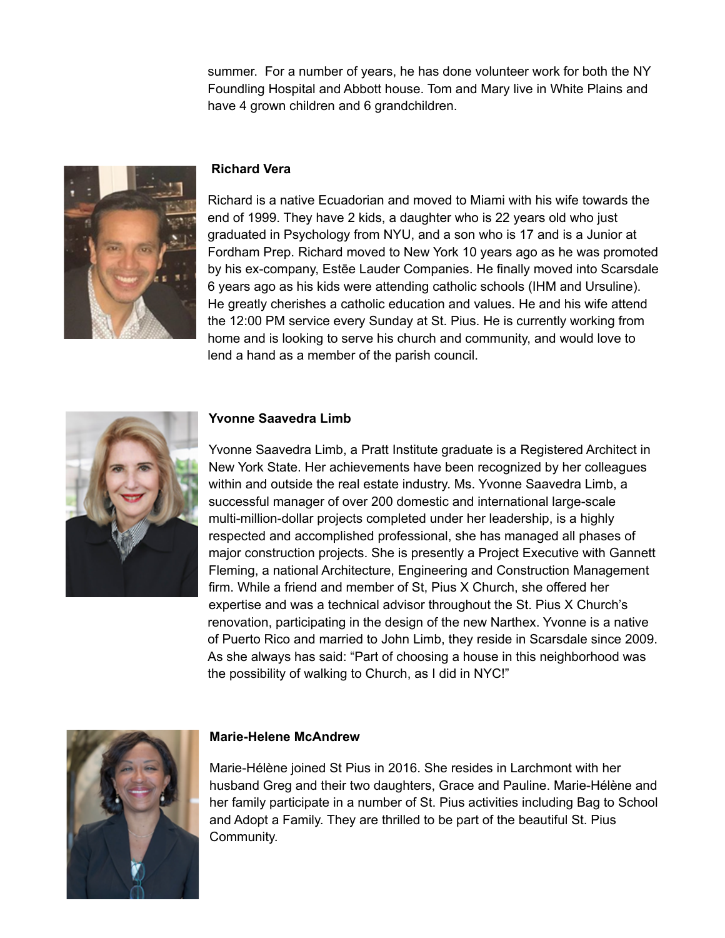summer. For a number of years, he has done volunteer work for both the NY Foundling Hospital and Abbott house. Tom and Mary live in White Plains and have 4 grown children and 6 grandchildren.



### **Richard Vera**

Richard is a native Ecuadorian and moved to Miami with his wife towards the end of 1999. They have 2 kids, a daughter who is 22 years old who just graduated in Psychology from NYU, and a son who is 17 and is a Junior at Fordham Prep. Richard moved to New York 10 years ago as he was promoted by his ex-company, Estēe Lauder Companies. He finally moved into Scarsdale 6 years ago as his kids were attending catholic schools (IHM and Ursuline). He greatly cherishes a catholic education and values. He and his wife attend the 12:00 PM service every Sunday at St. Pius. He is currently working from home and is looking to serve his church and community, and would love to lend a hand as a member of the parish council.



#### **Yvonne Saavedra Limb**

Yvonne Saavedra Limb, a Pratt Institute graduate is a Registered Architect in New York State. Her achievements have been recognized by her colleagues within and outside the real estate industry. Ms. Yvonne Saavedra Limb, a successful manager of over 200 domestic and international large-scale multi-million-dollar projects completed under her leadership, is a highly respected and accomplished professional, she has managed all phases of major construction projects. She is presently a Project Executive with Gannett Fleming, a national Architecture, Engineering and Construction Management firm. While a friend and member of St, Pius X Church, she offered her expertise and was a technical advisor throughout the St. Pius X Church's renovation, participating in the design of the new Narthex. Yvonne is a native of Puerto Rico and married to John Limb, they reside in Scarsdale since 2009. As she always has said: "Part of choosing a house in this neighborhood was the possibility of walking to Church, as I did in NYC!"



### **Marie-Helene McAndrew**

Marie-Hélène joined St Pius in 2016. She resides in Larchmont with her husband Greg and their two daughters, Grace and Pauline. Marie-Hélène and her family participate in a number of St. Pius activities including Bag to School and Adopt a Family. They are thrilled to be part of the beautiful St. Pius Community.